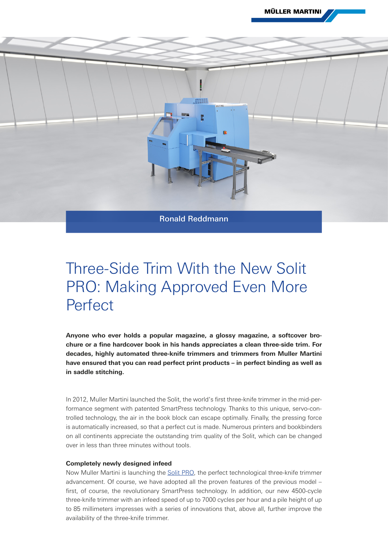Ronald Reddmann

45652)

# Three-Side Trim With the New Solit PRO: Making Approved Even More Perfect

**Anyone who ever holds a popular magazine, a glossy magazine, a softcover brochure or a fine hardcover book in his hands appreciates a clean three-side trim. For decades, highly automated three-knife trimmers and trimmers from Muller Martini have ensured that you can read perfect print products – in perfect binding as well as in saddle stitching.**

In 2012, Muller Martini launched the Solit, the world's first three-knife trimmer in the mid-performance segment with patented SmartPress technology. Thanks to this unique, servo-controlled technology, the air in the book block can escape optimally. Finally, the pressing force is automatically increased, so that a perfect cut is made. Numerous printers and bookbinders on all continents appreciate the outstanding trim quality of the Solit, which can be changed over in less than three minutes without tools.

## **Completely newly designed infeed**

Now Muller Martini is launching the [Solit PRO,](https://mullermartini.com/en/products-en/softcover-produktion/trimming/solit-pro/) the perfect technological three-knife trimmer advancement. Of course, we have adopted all the proven features of the previous model – first, of course, the revolutionary SmartPress technology. In addition, our new 4500-cycle three-knife trimmer with an infeed speed of up to 7000 cycles per hour and a pile height of up to 85 millimeters impresses with a series of innovations that, above all, further improve the availability of the three-knife trimmer.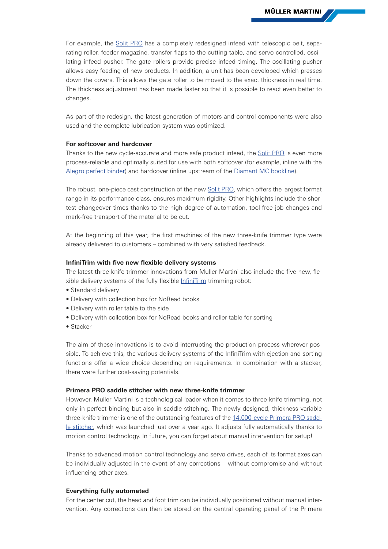For example, the [Solit PRO](https://mullermartini.com/en/products-en/softcover-produktion/trimming/solit-pro/) has a completely redesigned infeed with telescopic belt, separating roller, feeder magazine, transfer flaps to the cutting table, and servo-controlled, oscillating infeed pusher. The gate rollers provide precise infeed timing. The oscillating pusher allows easy feeding of new products. In addition, a unit has been developed which presses down the covers. This allows the gate roller to be moved to the exact thickness in real time. The thickness adjustment has been made faster so that it is possible to react even better to changes.

As part of the redesign, the latest generation of motors and control components were also used and the complete lubrication system was optimized.

#### **For softcover and hardcover**

Thanks to the new cycle-accurate and more safe product infeed, the [Solit PRO](https://mullermartini.com/en/products-en/softcover-produktion/trimming/solit-pro/) is even more process-reliable and optimally suited for use with both softcover (for example, inline with the [Alegro perfect binder\)](https://mullermartini.com/en/products-en/softcover-produktion/perfect-binding/alegro/) and hardcover (inline upstream of the [Diamant MC bookline\)](https://mullermartini.com/en/products-en/hardcover-produktion/book-line/diamant-mc/).

The robust, one-piece cast construction of the new [Solit PRO,](https://mullermartini.com/en/products-en/softcover-produktion/trimming/solit-pro/) which offers the largest format range in its performance class, ensures maximum rigidity. Other highlights include the shortest changeover times thanks to the high degree of automation, tool-free job changes and mark-free transport of the material to be cut.

At the beginning of this year, the first machines of the new three-knife trimmer type were already delivered to customers – combined with very satisfied feedback.

#### **InfiniTrim with five new flexible delivery systems**

The latest three-knife trimmer innovations from Muller Martini also include the five new, fle-xible delivery systems of the fully flexible [InfiniTrim](https://mullermartini.com/en/products-en/softcover-produktion/trimming/infinitrim/) trimming robot:

- **•** Standard delivery
- **•** Delivery with collection box for NoRead books
- **•** Delivery with roller table to the side
- **•** Delivery with collection box for NoRead books and roller table for sorting
- **•** Stacker

The aim of these innovations is to avoid interrupting the production process wherever possible. To achieve this, the various delivery systems of the InfiniTrim with ejection and sorting functions offer a wide choice depending on requirements. In combination with a stacker, there were further cost-saving potentials.

## **Primera PRO saddle stitcher with new three-knife trimmer**

However, Muller Martini is a technological leader when it comes to three-knife trimming, not only in perfect binding but also in saddle stitching. The newly designed, thickness variable three-knife trimmer is one of the outstanding features of the [14,000-cycle Primera PRO sadd](https://mullermartini.com/en/products-en/stitching-systems/saddle-stitching/primera-pro/)[le stitcher,](https://mullermartini.com/en/products-en/stitching-systems/saddle-stitching/primera-pro/) which was launched just over a year ago. It adjusts fully automatically thanks to motion control technology. In future, you can forget about manual intervention for setup!

Thanks to advanced motion control technology and servo drives, each of its format axes can be individually adjusted in the event of any corrections – without compromise and without influencing other axes.

### **Everything fully automated**

For the center cut, the head and foot trim can be individually positioned without manual intervention. Any corrections can then be stored on the central operating panel of the Primera